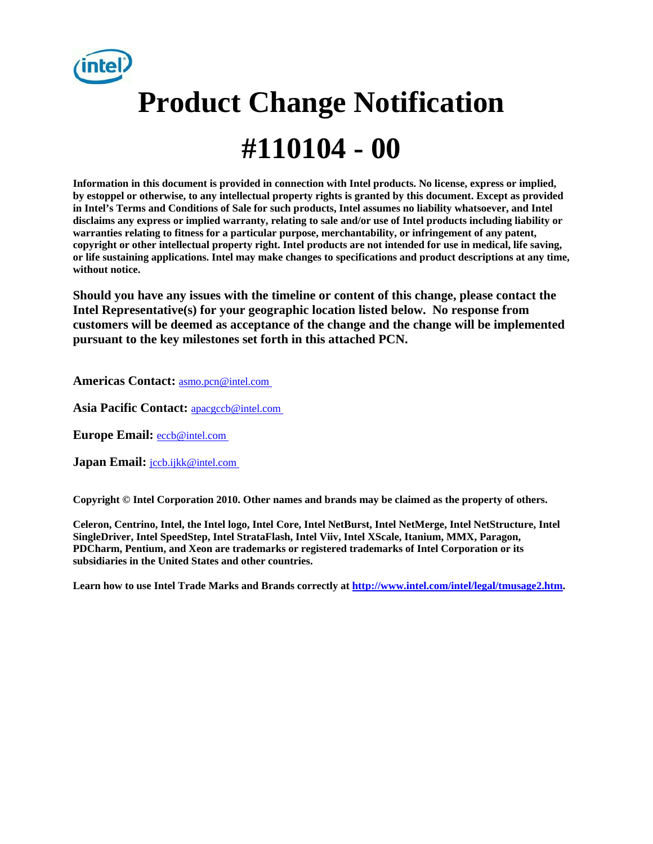

# **Product Change Notification #110104 - 00**

**Information in this document is provided in connection with Intel products. No license, express or implied, by estoppel or otherwise, to any intellectual property rights is granted by this document. Except as provided in Intel's Terms and Conditions of Sale for such products, Intel assumes no liability whatsoever, and Intel disclaims any express or implied warranty, relating to sale and/or use of Intel products including liability or warranties relating to fitness for a particular purpose, merchantability, or infringement of any patent, copyright or other intellectual property right. Intel products are not intended for use in medical, life saving, or life sustaining applications. Intel may make changes to specifications and product descriptions at any time, without notice.** 

**Should you have any issues with the timeline or content of this change, please contact the Intel Representative(s) for your geographic location listed below. No response from customers will be deemed as acceptance of the change and the change will be implemented pursuant to the key milestones set forth in this attached PCN.** 

**Americas Contact:** [asmo.pcn@intel.com](mailto:asmo.pcn@intel.com) 

Asia Pacific Contact: **apacgccb@intel.com** 

**Europe Email:** [eccb@intel.com](mailto:eccb@intel.com) 

**Japan Email: jccb.ijkk@intel.com** 

**Copyright © Intel Corporation 2010. Other names and brands may be claimed as the property of others.**

**Celeron, Centrino, Intel, the Intel logo, Intel Core, Intel NetBurst, Intel NetMerge, Intel NetStructure, Intel SingleDriver, Intel SpeedStep, Intel StrataFlash, Intel Viiv, Intel XScale, Itanium, MMX, Paragon, PDCharm, Pentium, and Xeon are trademarks or registered trademarks of Intel Corporation or its subsidiaries in the United States and other countries.** 

**Learn how to use Intel Trade Marks and Brands correctly at [http://www.intel.com/intel/legal/tmusage2.htm.](http://www.intel.com/intel/legal/tmusage2.htm)**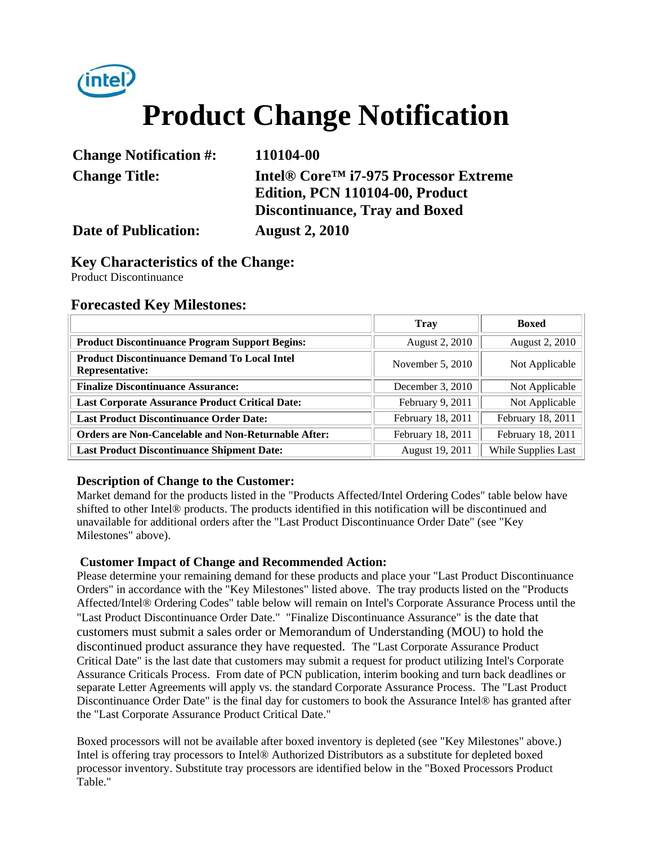

# **Product Change Notification**

| <b>Change Notification #:</b> | 110104-00                                                                            |
|-------------------------------|--------------------------------------------------------------------------------------|
| <b>Change Title:</b>          | Intel® Core <sup>™</sup> i7-975 Processor Extreme<br>Edition, PCN 110104-00, Product |
|                               | <b>Discontinuance, Tray and Boxed</b>                                                |
| <b>Date of Publication:</b>   | <b>August 2, 2010</b>                                                                |

#### **Key Characteristics of the Change:**

Product Discontinuance

#### **Forecasted Key Milestones:**

|                                                                               | <b>Tray</b>       |                     |  |
|-------------------------------------------------------------------------------|-------------------|---------------------|--|
| <b>Product Discontinuance Program Support Begins:</b>                         | August 2, 2010    | August 2, 2010      |  |
| <b>Product Discontinuance Demand To Local Intel</b><br><b>Representative:</b> | November 5, 2010  | Not Applicable      |  |
| <b>Finalize Discontinuance Assurance:</b>                                     | December 3, 2010  | Not Applicable      |  |
| <b>Last Corporate Assurance Product Critical Date:</b>                        | February 9, 2011  | Not Applicable      |  |
| <b>Last Product Discontinuance Order Date:</b>                                | February 18, 2011 | February 18, 2011   |  |
| <b>Orders are Non-Cancelable and Non-Returnable After:</b>                    | February 18, 2011 | February 18, 2011   |  |
| <b>Last Product Discontinuance Shipment Date:</b>                             | August 19, 2011   | While Supplies Last |  |

#### **Description of Change to the Customer:**

Market demand for the products listed in the "Products Affected/Intel Ordering Codes" table below have shifted to other Intel® products. The products identified in this notification will be discontinued and unavailable for additional orders after the "Last Product Discontinuance Order Date" (see "Key Milestones" above).

#### **Customer Impact of Change and Recommended Action:**

Please determine your remaining demand for these products and place your "Last Product Discontinuance Orders" in accordance with the "Key Milestones" listed above. The tray products listed on the "Products Affected/Intel® Ordering Codes" table below will remain on Intel's Corporate Assurance Process until the "Last Product Discontinuance Order Date." "Finalize Discontinuance Assurance" is the date that customers must submit a sales order or Memorandum of Understanding (MOU) to hold the discontinued product assurance they have requested. The "Last Corporate Assurance Product Critical Date" is the last date that customers may submit a request for product utilizing Intel's Corporate Assurance Criticals Process. From date of PCN publication, interim booking and turn back deadlines or separate Letter Agreements will apply vs. the standard Corporate Assurance Process. The "Last Product Discontinuance Order Date" is the final day for customers to book the Assurance Intel® has granted after the "Last Corporate Assurance Product Critical Date."

Boxed processors will not be available after boxed inventory is depleted (see "Key Milestones" above.) Intel is offering tray processors to Intel® Authorized Distributors as a substitute for depleted boxed processor inventory. Substitute tray processors are identified below in the "Boxed Processors Product Table."